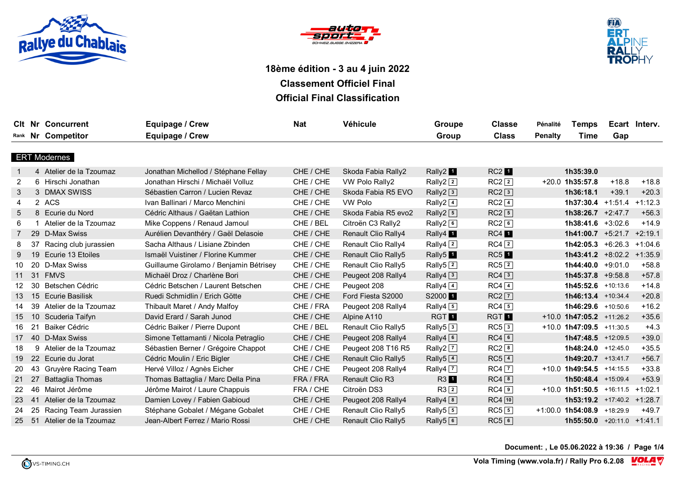





|    |     | <b>CIt Nr Concurrent</b> | Equipage / Crew                        | <b>Nat</b> | Véhicule                   | Groupe                          | <b>Classe</b>      | Pénalité       | <b>Temps</b>                           |         | Ecart Interv. |
|----|-----|--------------------------|----------------------------------------|------------|----------------------------|---------------------------------|--------------------|----------------|----------------------------------------|---------|---------------|
|    |     | Rank Nr Competitor       | Equipage / Crew                        |            |                            | Group                           | <b>Class</b>       | <b>Penalty</b> | Time                                   | Gap     |               |
|    |     |                          |                                        |            |                            |                                 |                    |                |                                        |         |               |
|    |     | <b>ERT Modernes</b>      |                                        |            |                            |                                 |                    |                |                                        |         |               |
|    |     | 4 Atelier de la Tzoumaz  | Jonathan Michellod / Stéphane Fellay   | CHE / CHE  | Skoda Fabia Rally2         | Rally2 <sup>1</sup>             | RC2                |                | 1h35:39.0                              |         |               |
| 2  |     | 6 Hirschi Jonathan       | Jonathan Hirschi / Michaël Volluz      | CHE / CHE  | VW Polo Rally2             | Rally2 $\sqrt{2}$               | $RC2$ $\boxed{2}$  |                | $+20.0$ 1h35:57.8                      | $+18.8$ | $+18.8$       |
| 3  |     | 3 DMAX SWISS             | Sébastien Carron / Lucien Revaz        | CHE / CHE  | Skoda Fabia R5 EVO         | Rally2 <sup>3</sup>             | $RC2$ <sup>3</sup> |                | 1h36:18.1                              | $+39.1$ | $+20.3$       |
| 4  |     | 2 ACS                    | Ivan Ballinari / Marco Menchini        | CHE / CHE  | VW Polo                    | Rally2 $4$                      | $RC2$ $\boxed{4}$  |                | $1h37:30.4$ +1:51.4 +1:12.3            |         |               |
| 5  |     | 8 Ecurie du Nord         | Cédric Althaus / Gaëtan Lathion        | CHE / CHE  | Skoda Fabia R5 evo2        | Rally2 $5$                      | $RC2$ 5            |                | $1h38:26.7 +2:47.7$                    |         | $+56.3$       |
| 6  |     | 1 Atelier de la Tzoumaz  | Mike Coppens / Renaud Jamoul           | CHE / BEL  | Citroën C3 Rally2          | Rally2 $6$                      | $RC2$ 6            |                | 1h38:41.6 $+3:02.6$                    |         | $+14.9$       |
|    |     | 29 D-Max Swiss           | Aurélien Devanthéry / Gaël Delasoie    | CHE / CHE  | <b>Renault Clio Rally4</b> | Rally4 <sub>1</sub>             | RC4                |                | $1h41:00.7$ +5:21.7 +2:19.1            |         |               |
| 8  |     | 37 Racing club jurassien | Sacha Althaus / Lisiane Zbinden        | CHE / CHE  | Renault Clio Rally4        | Rally4 $\sqrt{2}$               | $RC4$ <sup>2</sup> |                | $1h42:05.3 +6:26.3 +1:04.6$            |         |               |
| 9  |     | 19 Ecurie 13 Etoiles     | Ismaël Vuistiner / Florine Kummer      | CHE / CHE  | <b>Renault Clio Rally5</b> | Rally <sub>5</sub> 1            | $RC5$ <sup>1</sup> |                | $1h43:41.2$ +8:02.2 +1:35.9            |         |               |
| 10 |     | 20 D-Max Swiss           | Guillaume Girolamo / Benjamin Bétrisey | CHE / CHE  | Renault Clio Rally5        | Rally5 $ 2 $                    | RC5 2              |                | 1h44:40.0 $+9:01.0$                    |         | $+58.8$       |
| 11 |     | 31 FMVS                  | Michaël Droz / Charlène Bori           | CHE / CHE  | Peugeot 208 Rally4         | Rally4 $3$                      | $RC4$ 3            |                | $1h45:37.8$ +9:58.8                    |         | $+57.8$       |
| 12 |     | 30 Betschen Cédric       | Cédric Betschen / Laurent Betschen     | CHE / CHE  | Peugeot 208                | Rally4 $\boxed{4}$              | $RC4$ $\boxed{4}$  |                | 1h45:52.6 +10:13.6                     |         | $+14.8$       |
| 13 |     | 15 Ecurie Basilisk       | Ruedi Schmidlin / Erich Götte          | CHE / CHE  | Ford Fiesta S2000          | S2000 <sup>1</sup>              | $RC2$ $\boxed{7}$  |                | 1h46:13.4 +10:34.4                     |         | $+20.8$       |
| 14 |     | 39 Atelier de la Tzoumaz | Thibault Maret / Andy Malfoy           | CHE / FRA  | Peugeot 208 Rally4         | Rally4 $\boxed{5}$              | $RC4\sqrt{5}$      |                | 1h46:29.6 +10:50.6                     |         | $+16.2$       |
| 15 |     | 10 Scuderia Taifyn       | David Erard / Sarah Junod              | CHE / CHE  | Alpine A110                | <b>RGT</b>                      | <b>RGT</b>         |                | $+10.0$ 1h47:05.2 $+11:26.2$           |         | $+35.6$       |
| 16 | 21  | Baiker Cédric            | Cédric Baiker / Pierre Dupont          | CHE / BEL  | Renault Clio Rally5        | Rally <sub>5</sub> <sup>3</sup> | RC53               |                | $+10.0$ 1h47:09.5 $+11:30.5$           |         | $+4.3$        |
| 17 |     | 40 D-Max Swiss           | Simone Tettamanti / Nicola Petraglio   | CHE / CHE  | Peugeot 208 Rally4         | Rally4 $\boxed{6}$              | $RC4$ 6            |                | 1h47:48.5 +12:09.5                     |         | $+39.0$       |
| 18 |     | 9 Atelier de la Tzoumaz  | Sébastien Berner / Grégoire Chappot    | CHE / CHE  | Peugeot 208 T16 R5         | Rally2 $\boxed{7}$              | $RC2$ <sup>8</sup> |                | 1h48:24.0 +12:45.0                     |         | $+35.5$       |
| 19 |     | 22 Ecurie du Jorat       | Cédric Moulin / Eric Bigler            | CHE / CHE  | <b>Renault Clio Rally5</b> | Rally5 <sup>4</sup>             | $RC5$ <sup>4</sup> |                | 1h49:20.7 +13:41.7                     |         | $+56.7$       |
| 20 |     | 43 Gruyère Racing Team   | Hervé Villoz / Agnès Eicher            | CHE / CHE  | Peugeot 208 Rally4         | Rally4 7                        | $RC4$ $\boxed{7}$  |                | $+10.0$ 1h49:54.5 $+14:15.5$           |         | $+33.8$       |
| 21 | 27  | <b>Battaglia Thomas</b>  | Thomas Battaglia / Marc Della Pina     | FRA / FRA  | <b>Renault Clio R3</b>     | R3 1                            | $RC4$ $8$          |                | 1h50:48.4 +15:09.4                     |         | $+53.9$       |
| 22 | 46  | Mairot Jérôme            | Jérôme Mairot / Laure Chappuis         | FRA / CHE  | Citroën DS3                | $R3\sqrt{2}$                    | $RC4$ 9            |                | $+10.0$ 1h51:50.5 $+16:11.5$ $+1:02.1$ |         |               |
| 23 | -41 | Atelier de la Tzoumaz    | Damien Lovey / Fabien Gabioud          | CHE / CHE  | Peugeot 208 Rally4         | Rally4 $8$                      | RC4 10             |                | <b>1h53:19.2</b> +17:40.2 +1:28.7      |         |               |
| 24 |     | 25 Racing Team Jurassien | Stéphane Gobalet / Mégane Gobalet      | CHE / CHE  | Renault Clio Rally5        | Rally <sub>5</sub> $5$          | $RC5$ 5            |                | $+1:00.0$ 1h54:08.9 $+18:29.9$         |         | $+49.7$       |
| 25 |     | 51 Atelier de la Tzoumaz | Jean-Albert Ferrez / Mario Rossi       | CHE / CHE  | Renault Clio Rally5        | Rally5 $6$                      | $RC5$ <sup>6</sup> |                | $1h55:50.0$ +20:11.0 +1:41.1           |         |               |

**Document: , Le 05.06.2022 à 19:36 / Page 1/4**

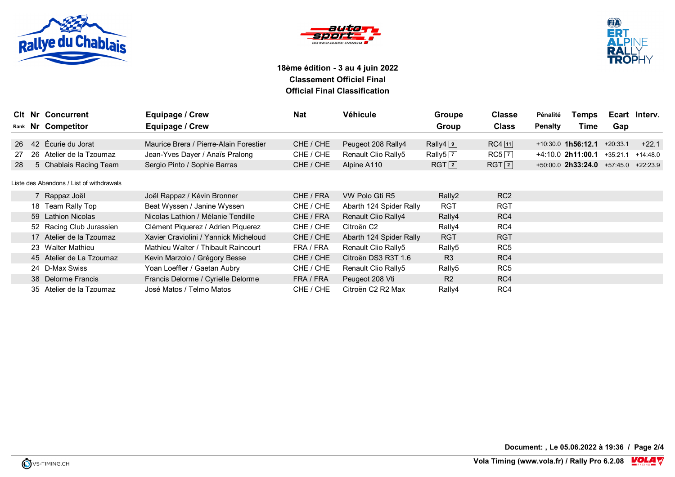





|    | <b>CIt Nr Concurrent</b>                 | Equipage / Crew                        | <b>Nat</b> | Véhicule                | Groupe                         | <b>Classe</b>     | Pénalité       | Temps                                      |            | Ecart Interv. |
|----|------------------------------------------|----------------------------------------|------------|-------------------------|--------------------------------|-------------------|----------------|--------------------------------------------|------------|---------------|
|    | Rank Nr Competitor                       | Equipage / Crew                        |            |                         | Group                          | <b>Class</b>      | <b>Penalty</b> | Time                                       | Gap        |               |
|    |                                          |                                        |            |                         |                                |                   |                |                                            |            |               |
| 26 | 42 Écurie du Jorat                       | Maurice Brera / Pierre-Alain Forestier | CHE / CHE  | Peugeot 208 Rally4      | Rally $4\sqrt{9}$              | $RC4$ [11]        |                | $+10:30.0$ 1h56:12.1                       | $+20:33.1$ | $+22.1$       |
| 27 | 26 Atelier de la Tzoumaz                 | Jean-Yves Dayer / Anaïs Pralong        | CHE / CHE  | Renault Clio Rally5     | Rally <sub>5</sub> $\boxed{7}$ | $RC5$ $\boxed{7}$ |                | $+4:10.0$ 2h11:00.1                        | $+35:21.1$ | $+14:48.0$    |
| 28 | 5 Chablais Racing Team                   | Sergio Pinto / Sophie Barras           | CHE / CHE  | Alpine A110             | RGT[2]                         | RGT[2]            |                | $+50:00.0$ 2h33:24.0 $+57:45.0$ $+22:23.9$ |            |               |
|    |                                          |                                        |            |                         |                                |                   |                |                                            |            |               |
|    | Liste des Abandons / List of withdrawals |                                        |            |                         |                                |                   |                |                                            |            |               |
|    | 7 Rappaz Joël                            | Joël Rappaz / Kévin Bronner            | CHE / FRA  | VW Polo Gti R5          | Rally2                         | RC <sub>2</sub>   |                |                                            |            |               |
|    | 18 Team Rally Top                        | Beat Wyssen / Janine Wyssen            | CHE / CHE  | Abarth 124 Spider Rally | <b>RGT</b>                     | <b>RGT</b>        |                |                                            |            |               |
|    | 59 Lathion Nicolas                       | Nicolas Lathion / Mélanie Tendille     | CHE / FRA  | Renault Clio Rally4     | Rally4                         | RC4               |                |                                            |            |               |
|    | 52 Racing Club Jurassien                 | Clément Piquerez / Adrien Piquerez     | CHE / CHE  | Citroën C <sub>2</sub>  | Rally4                         | RC4               |                |                                            |            |               |
|    | 17 Atelier de la Tzoumaz                 | Xavier Craviolini / Yannick Micheloud  | CHE / CHE  | Abarth 124 Spider Rally | <b>RGT</b>                     | <b>RGT</b>        |                |                                            |            |               |
|    | 23 Walter Mathieu                        | Mathieu Walter / Thibault Raincourt    | FRA / FRA  | Renault Clio Rally5     | Rally5                         | RC <sub>5</sub>   |                |                                            |            |               |
|    | 45 Atelier de La Tzoumaz                 | Kevin Marzolo / Grégory Besse          | CHE / CHE  | Citroën DS3 R3T 1.6     | R <sub>3</sub>                 | RC4               |                |                                            |            |               |
|    | 24 D-Max Swiss                           | Yoan Loeffler / Gaetan Aubry           | CHE / CHE  | Renault Clio Rally5     | Rally5                         | RC <sub>5</sub>   |                |                                            |            |               |
|    | 38 Delorme Francis                       | Francis Delorme / Cyrielle Delorme     | FRA / FRA  | Peugeot 208 Vti         | R <sub>2</sub>                 | RC4               |                |                                            |            |               |
|    | 35 Atelier de la Tzoumaz                 | José Matos / Telmo Matos               | CHE / CHE  | Citroën C2 R2 Max       | Rally4                         | RC4               |                |                                            |            |               |

**Document: , Le 05.06.2022 à 19:36 / Page 2/4**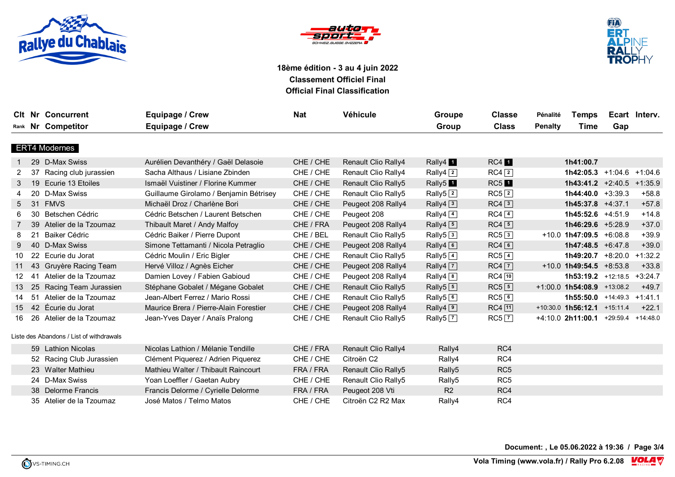





|                 |    | <b>CIt Nr Concurrent</b>                 | Equipage / Crew                        | <b>Nat</b> | Véhicule                   | Groupe                          | <b>Classe</b>      | Pénalité       | <b>Temps</b>                              |     | Ecart Interv. |
|-----------------|----|------------------------------------------|----------------------------------------|------------|----------------------------|---------------------------------|--------------------|----------------|-------------------------------------------|-----|---------------|
|                 |    | Rank Nr Competitor                       | Equipage / Crew                        |            |                            | Group                           | <b>Class</b>       | <b>Penalty</b> | Time                                      | Gap |               |
|                 |    |                                          |                                        |            |                            |                                 |                    |                |                                           |     |               |
|                 |    | <b>ERT4 Modernes</b>                     |                                        |            |                            |                                 |                    |                |                                           |     |               |
|                 |    | 29 D-Max Swiss                           | Aurélien Devanthéry / Gaël Delasoie    | CHE / CHE  | <b>Renault Clio Rally4</b> | Rally4 <sub>1</sub>             | RC4                |                | 1h41:00.7                                 |     |               |
| 2               | 37 | Racing club jurassien                    | Sacha Althaus / Lisiane Zbinden        | CHE / CHE  | Renault Clio Rally4        | Rally4 <sup>2</sup>             | $RC4$ <sup>2</sup> |                | $1h42:05.3$ +1:04.6 +1:04.6               |     |               |
| 3               |    | 19 Ecurie 13 Etoiles                     | Ismaël Vuistiner / Florine Kummer      | CHE / CHE  | Renault Clio Rally5        | Rally5 <sup>1</sup>             | $RC5$ <sup>1</sup> |                | $1h43:41.2$ +2:40.5 +1:35.9               |     |               |
|                 |    | 20 D-Max Swiss                           | Guillaume Girolamo / Benjamin Bétrisey | CHE / CHE  | Renault Clio Rally5        | Rally <sub>5</sub> <sup>2</sup> | RC5 2              |                | $1h44:40.0 +3:39.3$                       |     | $+58.8$       |
| 5               |    | 31 FMVS                                  | Michaël Droz / Charlène Bori           | CHE / CHE  | Peugeot 208 Rally4         | Rally4 <sup>3</sup>             | $RC4\sqrt{3}$      |                | 1h45:37.8 +4:37.1                         |     | $+57.8$       |
|                 |    | 30 Betschen Cédric                       | Cédric Betschen / Laurent Betschen     | CHE / CHE  | Peugeot 208                | Rally4 $\boxed{4}$              | $RC4$ <sup>4</sup> |                | 1h45:52.6 +4:51.9                         |     | $+14.8$       |
|                 |    | 39 Atelier de la Tzoumaz                 | Thibault Maret / Andy Malfoy           | CHE / FRA  | Peugeot 208 Rally4         | Rally4 $\boxed{5}$              | $RC4\sqrt{5}$      |                | 1h46:29.6 $+5:28.9$                       |     | $+37.0$       |
| 8               | 21 | Baiker Cédric                            | Cédric Baiker / Pierre Dupont          | CHE / BEL  | Renault Clio Rally5        | Rally5 $ 3 $                    | RC53               |                | $+10.0$ 1h47:09.5 $+6.08.8$               |     | $+39.9$       |
| 9               |    | 40 D-Max Swiss                           | Simone Tettamanti / Nicola Petraglio   | CHE / CHE  | Peugeot 208 Rally4         | Rally4 $6$                      | $RC4$ <sup>6</sup> |                | 1h47:48.5 $+6:47.8$                       |     | $+39.0$       |
| 10              |    | 22 Ecurie du Jorat                       | Cédric Moulin / Eric Bigler            | CHE / CHE  | Renault Clio Rally5        | Rally $5\sqrt{4}$               | $RC5$ $4$          |                | $1h49:20.7$ +8:20.0                       |     | $+1:32.2$     |
| 11              |    | 43 Gruyère Racing Team                   | Hervé Villoz / Agnès Eicher            | CHE / CHE  | Peugeot 208 Rally4         | Rally4 <sup>7</sup>             | $RC4$ $\boxed{7}$  |                | $+10.0$ 1h49:54.5 $+8.53.8$               |     | $+33.8$       |
| 12 <sup>°</sup> | 41 | Atelier de la Tzoumaz                    | Damien Lovey / Fabien Gabioud          | CHE / CHE  | Peugeot 208 Rally4         | Rally4 $8$                      | $RC4$ $ 10 $       |                | 1h53:19.2 +12:18.5                        |     | $+3:24.7$     |
| 13              |    | 25 Racing Team Jurassien                 | Stéphane Gobalet / Mégane Gobalet      | CHE / CHE  | Renault Clio Rally5        | Rally <sub>5</sub> 5            | $RC5$ 5            |                | $+1:00.0$ 1h54:08.9 $+13:08.2$            |     | $+49.7$       |
| 14              | 51 | Atelier de la Tzoumaz                    | Jean-Albert Ferrez / Mario Rossi       | CHE / CHE  | Renault Clio Rally5        | Rally5 <sup>6</sup>             | $RC5$ <sup>6</sup> |                | $1h55:50.0$ +14:49.3                      |     | $+1:41.1$     |
| 15              |    | 42 Écurie du Jorat                       | Maurice Brera / Pierre-Alain Forestier | CHE / CHE  | Peugeot 208 Rally4         | Rally $4\sqrt{9}$               | $RC4$ [11]         |                | +10:30.0 1h56:12.1 +15:11.4               |     | $+22.1$       |
| 16              |    | 26 Atelier de la Tzoumaz                 | Jean-Yves Dayer / Anaïs Pralong        | CHE / CHE  | Renault Clio Rally5        | Rally <sub>5</sub> $\boxed{7}$  | $RC5$ <sup>7</sup> |                | $+4:10.0$ 2h11:00.1 $+29:59.4$ $+14:48.0$ |     |               |
|                 |    |                                          |                                        |            |                            |                                 |                    |                |                                           |     |               |
|                 |    | Liste des Abandons / List of withdrawals |                                        |            |                            |                                 |                    |                |                                           |     |               |
|                 |    | 59 Lathion Nicolas                       | Nicolas Lathion / Mélanie Tendille     | CHE / FRA  | <b>Renault Clio Rally4</b> | Rally4                          | RC4                |                |                                           |     |               |
|                 |    | 52 Racing Club Jurassien                 | Clément Piquerez / Adrien Piquerez     | CHE / CHE  | Citroën C <sub>2</sub>     | Rally4                          | RC4                |                |                                           |     |               |
|                 |    | 23 Walter Mathieu                        | Mathieu Walter / Thibault Raincourt    | FRA / FRA  | Renault Clio Rally5        | Rally5                          | RC <sub>5</sub>    |                |                                           |     |               |
|                 |    | 24 D-Max Swiss                           | Yoan Loeffler / Gaetan Aubry           | CHE / CHE  | Renault Clio Rally5        | Rally5                          | RC <sub>5</sub>    |                |                                           |     |               |
|                 |    | 38 Delorme Francis                       | Francis Delorme / Cyrielle Delorme     | FRA / FRA  | Peugeot 208 Vti            | R <sub>2</sub>                  | RC4                |                |                                           |     |               |
|                 |    | 35 Atelier de la Tzoumaz                 | José Matos / Telmo Matos               | CHE / CHE  | Citroën C2 R2 Max          | Rally4                          | RC4                |                |                                           |     |               |

**Document: , Le 05.06.2022 à 19:36 / Page 3/4**